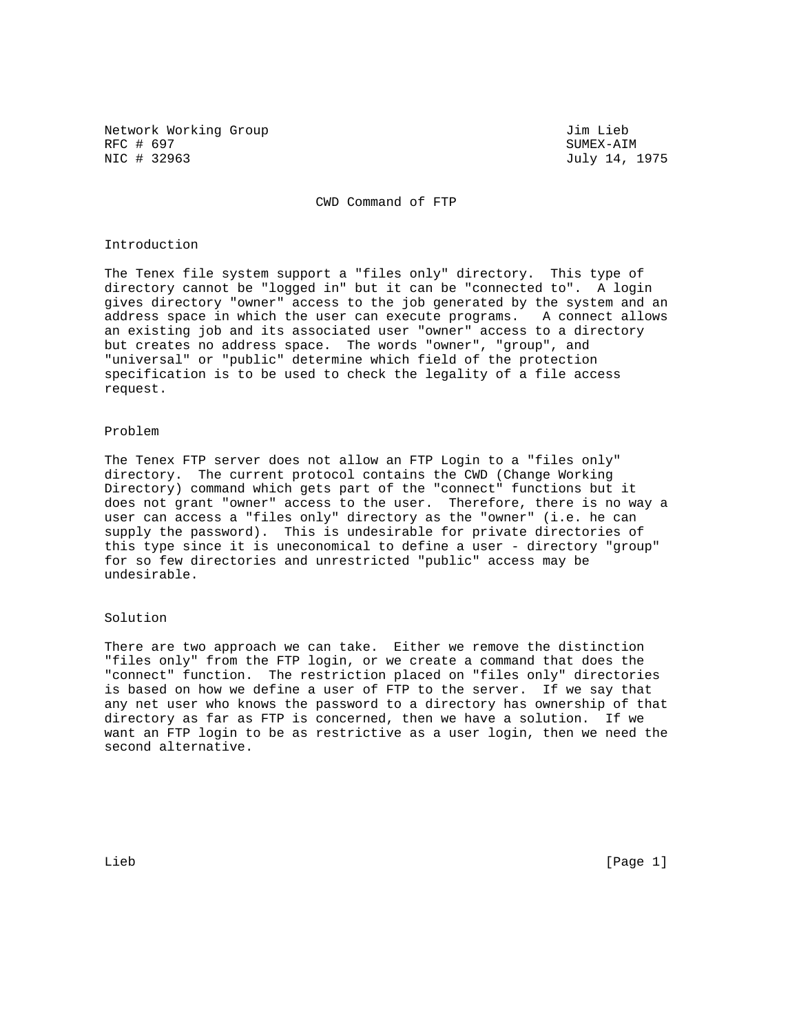Network Working Group 30 and 100 and 100 and 100 and 100 and 100 and 100 and 100 and 100 and 100 and 100 and 10 RFC # 697 SUMEX-AIM SUMEX-AIM SUMEX-AIM SUMEX-AIM SUMEX-AIM SUMEX-AIM SUMEX-AIM

July 14, 1975

CWD Command of FTP

## Introduction

The Tenex file system support a "files only" directory. This type of directory cannot be "logged in" but it can be "connected to". A login gives directory "owner" access to the job generated by the system and an address space in which the user can execute programs. A connect allows an existing job and its associated user "owner" access to a directory but creates no address space. The words "owner", "group", and "universal" or "public" determine which field of the protection specification is to be used to check the legality of a file access request.

## Problem

The Tenex FTP server does not allow an FTP Login to a "files only" directory. The current protocol contains the CWD (Change Working Directory) command which gets part of the "connect" functions but it does not grant "owner" access to the user. Therefore, there is no way a user can access a "files only" directory as the "owner" (i.e. he can supply the password). This is undesirable for private directories of this type since it is uneconomical to define a user - directory "group" for so few directories and unrestricted "public" access may be undesirable.

## Solution

There are two approach we can take. Either we remove the distinction "files only" from the FTP login, or we create a command that does the "connect" function. The restriction placed on "files only" directories is based on how we define a user of FTP to the server. If we say that any net user who knows the password to a directory has ownership of that directory as far as FTP is concerned, then we have a solution. If we want an FTP login to be as restrictive as a user login, then we need the second alternative.

Lieb [Page 1]